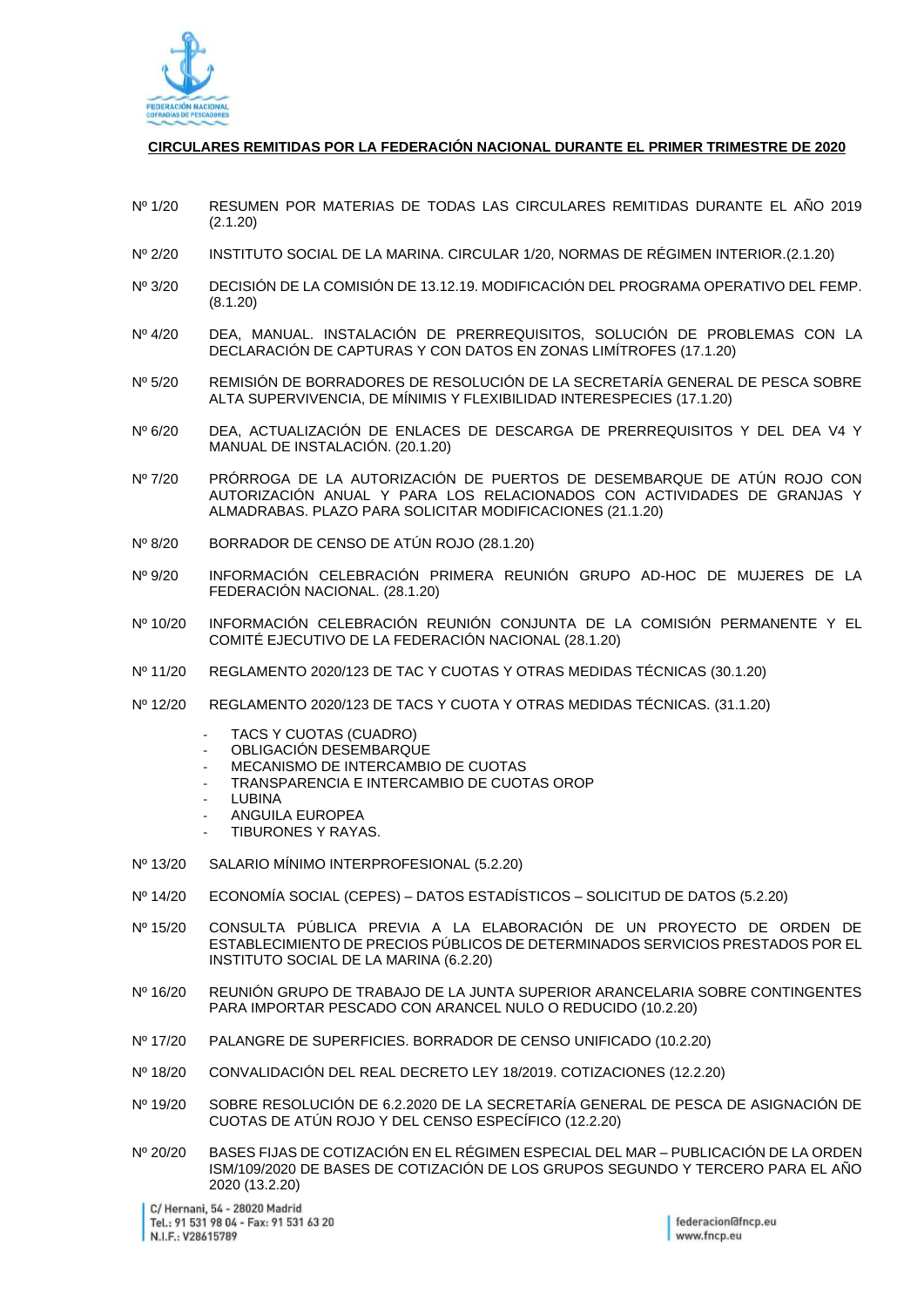

## **CIRCULARES REMITIDAS POR LA FEDERACIÓN NACIONAL DURANTE EL PRIMER TRIMESTRE DE 2020**

- Nº 1/20 RESUMEN POR MATERIAS DE TODAS LAS CIRCULARES REMITIDAS DURANTE EL AÑO 2019 (2.1.20)
- Nº 2/20 INSTITUTO SOCIAL DE LA MARINA. CIRCULAR 1/20, NORMAS DE RÉGIMEN INTERIOR.(2.1.20)
- Nº 3/20 DECISIÓN DE LA COMISIÓN DE 13.12.19. MODIFICACIÓN DEL PROGRAMA OPERATIVO DEL FEMP. (8.1.20)
- Nº 4/20 DEA, MANUAL. INSTALACIÓN DE PRERREQUISITOS, SOLUCIÓN DE PROBLEMAS CON LA DECLARACIÓN DE CAPTURAS Y CON DATOS EN ZONAS LIMÍTROFES (17.1.20)
- Nº 5/20 REMISIÓN DE BORRADORES DE RESOLUCIÓN DE LA SECRETARÍA GENERAL DE PESCA SOBRE ALTA SUPERVIVENCIA, DE MÍNIMIS Y FLEXIBILIDAD INTERESPECIES (17.1.20)
- Nº 6/20 DEA, ACTUALIZACIÓN DE ENLACES DE DESCARGA DE PRERREQUISITOS Y DEL DEA V4 Y MANUAL DE INSTALACIÓN. (20.1.20)
- Nº 7/20 PRÓRROGA DE LA AUTORIZACIÓN DE PUERTOS DE DESEMBARQUE DE ATÚN ROJO CON AUTORIZACIÓN ANUAL Y PARA LOS RELACIONADOS CON ACTIVIDADES DE GRANJAS Y ALMADRABAS. PLAZO PARA SOLICITAR MODIFICACIONES (21.1.20)
- Nº 8/20 BORRADOR DE CENSO DE ATÚN ROJO (28.1.20)
- Nº 9/20 INFORMACIÓN CELEBRACIÓN PRIMERA REUNIÓN GRUPO AD-HOC DE MUJERES DE LA FEDERACIÓN NACIONAL. (28.1.20)
- Nº 10/20 INFORMACIÓN CELEBRACIÓN REUNIÓN CONJUNTA DE LA COMISIÓN PERMANENTE Y EL COMITÉ EJECUTIVO DE LA FEDERACIÓN NACIONAL (28.1.20)
- Nº 11/20 REGLAMENTO 2020/123 DE TAC Y CUOTAS Y OTRAS MEDIDAS TÉCNICAS (30.1.20)
- Nº 12/20 REGLAMENTO 2020/123 DE TACS Y CUOTA Y OTRAS MEDIDAS TÉCNICAS. (31.1.20)
	- TACS Y CUOTAS (CUADRO)
	- OBLIGACIÓN DESEMBARQUE
	- MECANISMO DE INTERCAMBIO DE CUOTAS
	- TRANSPARENCIA E INTERCAMBIO DE CUOTAS OROP
	- **LUBINA**
	- ANGUILA EUROPEA
	- TIBURONES Y RAYAS.
- Nº 13/20 SALARIO MÍNIMO INTERPROFESIONAL (5.2.20)
- Nº 14/20 ECONOMÍA SOCIAL (CEPES) DATOS ESTADÍSTICOS SOLICITUD DE DATOS (5.2.20)
- Nº 15/20 CONSULTA PÚBLICA PREVIA A LA ELABORACIÓN DE UN PROYECTO DE ORDEN DE ESTABLECIMIENTO DE PRECIOS PÚBLICOS DE DETERMINADOS SERVICIOS PRESTADOS POR EL INSTITUTO SOCIAL DE LA MARINA (6.2.20)
- Nº 16/20 REUNIÓN GRUPO DE TRABAJO DE LA JUNTA SUPERIOR ARANCELARIA SOBRE CONTINGENTES PARA IMPORTAR PESCADO CON ARANCEL NULO O REDUCIDO (10.2.20)
- Nº 17/20 PALANGRE DE SUPERFICIES. BORRADOR DE CENSO UNIFICADO (10.2.20)
- Nº 18/20 CONVALIDACIÓN DEL REAL DECRETO LEY 18/2019. COTIZACIONES (12.2.20)
- Nº 19/20 SOBRE RESOLUCIÓN DE 6.2.2020 DE LA SECRETARÍA GENERAL DE PESCA DE ASIGNACIÓN DE CUOTAS DE ATÚN ROJO Y DEL CENSO ESPECÍFICO (12.2.20)
- Nº 20/20 BASES FIJAS DE COTIZACIÓN EN EL RÉGIMEN ESPECIAL DEL MAR PUBLICACIÓN DE LA ORDEN ISM/109/2020 DE BASES DE COTIZACIÓN DE LOS GRUPOS SEGUNDO Y TERCERO PARA EL AÑO 2020 (13.2.20)

C/ Hernani, 54 - 28020 Madrid Tel.: 91 531 98 04 - Fax: 91 531 63 20 N.I.F.: V28615789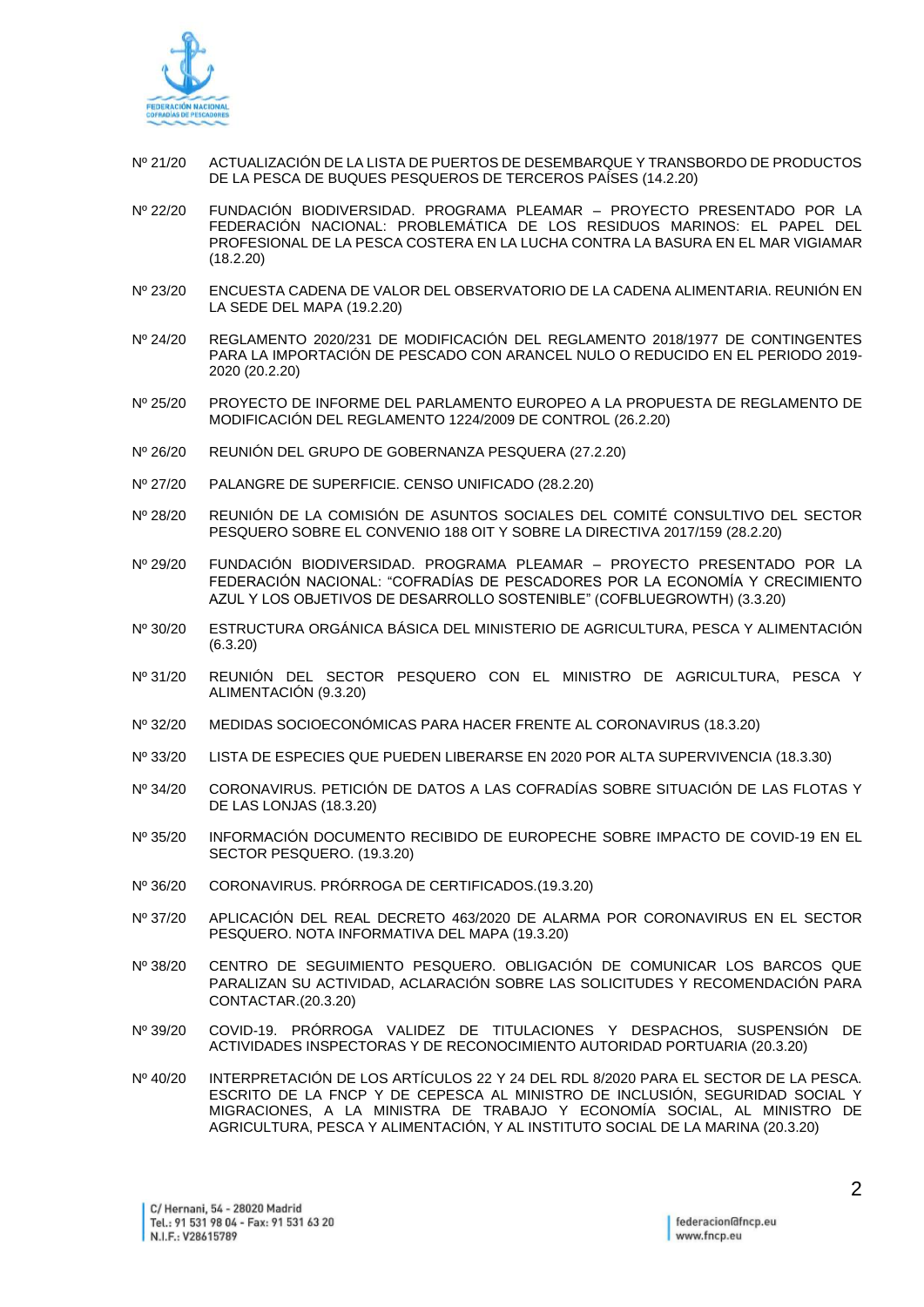

- Nº 21/20 ACTUALIZACIÓN DE LA LISTA DE PUERTOS DE DESEMBARQUE Y TRANSBORDO DE PRODUCTOS DE LA PESCA DE BUQUES PESQUEROS DE TERCEROS PAÍSES (14.2.20)
- Nº 22/20 FUNDACIÓN BIODIVERSIDAD. PROGRAMA PLEAMAR PROYECTO PRESENTADO POR LA FEDERACIÓN NACIONAL: PROBLEMÁTICA DE LOS RESIDUOS MARINOS: EL PAPEL DEL PROFESIONAL DE LA PESCA COSTERA EN LA LUCHA CONTRA LA BASURA EN EL MAR VIGIAMAR (18.2.20)
- Nº 23/20 ENCUESTA CADENA DE VALOR DEL OBSERVATORIO DE LA CADENA ALIMENTARIA. REUNIÓN EN LA SEDE DEL MAPA (19.2.20)
- Nº 24/20 REGLAMENTO 2020/231 DE MODIFICACIÓN DEL REGLAMENTO 2018/1977 DE CONTINGENTES PARA LA IMPORTACIÓN DE PESCADO CON ARANCEL NULO O REDUCIDO EN EL PERIODO 2019- 2020 (20.2.20)
- Nº 25/20 PROYECTO DE INFORME DEL PARLAMENTO EUROPEO A LA PROPUESTA DE REGLAMENTO DE MODIFICACIÓN DEL REGLAMENTO 1224/2009 DE CONTROL (26.2.20)
- Nº 26/20 REUNIÓN DEL GRUPO DE GOBERNANZA PESQUERA (27.2.20)
- Nº 27/20 PALANGRE DE SUPERFICIE. CENSO UNIFICADO (28.2.20)
- Nº 28/20 REUNIÓN DE LA COMISIÓN DE ASUNTOS SOCIALES DEL COMITÉ CONSULTIVO DEL SECTOR PESQUERO SOBRE EL CONVENIO 188 OIT Y SOBRE LA DIRECTIVA 2017/159 (28.2.20)
- Nº 29/20 FUNDACIÓN BIODIVERSIDAD. PROGRAMA PLEAMAR PROYECTO PRESENTADO POR LA FEDERACIÓN NACIONAL: "COFRADÍAS DE PESCADORES POR LA ECONOMÍA Y CRECIMIENTO AZUL Y LOS OBJETIVOS DE DESARROLLO SOSTENIBLE" (COFBLUEGROWTH) (3.3.20)
- Nº 30/20 ESTRUCTURA ORGÁNICA BÁSICA DEL MINISTERIO DE AGRICULTURA, PESCA Y ALIMENTACIÓN (6.3.20)
- Nº 31/20 REUNIÓN DEL SECTOR PESQUERO CON EL MINISTRO DE AGRICULTURA, PESCA Y ALIMENTACIÓN (9.3.20)
- Nº 32/20 MEDIDAS SOCIOECONÓMICAS PARA HACER FRENTE AL CORONAVIRUS (18.3.20)
- Nº 33/20 LISTA DE ESPECIES QUE PUEDEN LIBERARSE EN 2020 POR ALTA SUPERVIVENCIA (18.3.30)
- Nº 34/20 CORONAVIRUS. PETICIÓN DE DATOS A LAS COFRADÍAS SOBRE SITUACIÓN DE LAS FLOTAS Y DE LAS LONJAS (18.3.20)
- Nº 35/20 INFORMACIÓN DOCUMENTO RECIBIDO DE EUROPECHE SOBRE IMPACTO DE COVID-19 EN EL SECTOR PESQUERO. (19.3.20)
- Nº 36/20 CORONAVIRUS. PRÓRROGA DE CERTIFICADOS.(19.3.20)
- Nº 37/20 APLICACIÓN DEL REAL DECRETO 463/2020 DE ALARMA POR CORONAVIRUS EN EL SECTOR PESQUERO. NOTA INFORMATIVA DEL MAPA (19.3.20)
- Nº 38/20 CENTRO DE SEGUIMIENTO PESQUERO. OBLIGACIÓN DE COMUNICAR LOS BARCOS QUE PARALIZAN SU ACTIVIDAD, ACLARACIÓN SOBRE LAS SOLICITUDES Y RECOMENDACIÓN PARA CONTACTAR.(20.3.20)
- Nº 39/20 COVID-19. PRÓRROGA VALIDEZ DE TITULACIONES Y DESPACHOS, SUSPENSIÓN DE ACTIVIDADES INSPECTORAS Y DE RECONOCIMIENTO AUTORIDAD PORTUARIA (20.3.20)
- Nº 40/20 INTERPRETACIÓN DE LOS ARTÍCULOS 22 Y 24 DEL RDL 8/2020 PARA EL SECTOR DE LA PESCA. ESCRITO DE LA FNCP Y DE CEPESCA AL MINISTRO DE INCLUSIÓN, SEGURIDAD SOCIAL Y MIGRACIONES, A LA MINISTRA DE TRABAJO Y ECONOMÍA SOCIAL, AL MINISTRO DE AGRICULTURA, PESCA Y ALIMENTACIÓN, Y AL INSTITUTO SOCIAL DE LA MARINA (20.3.20)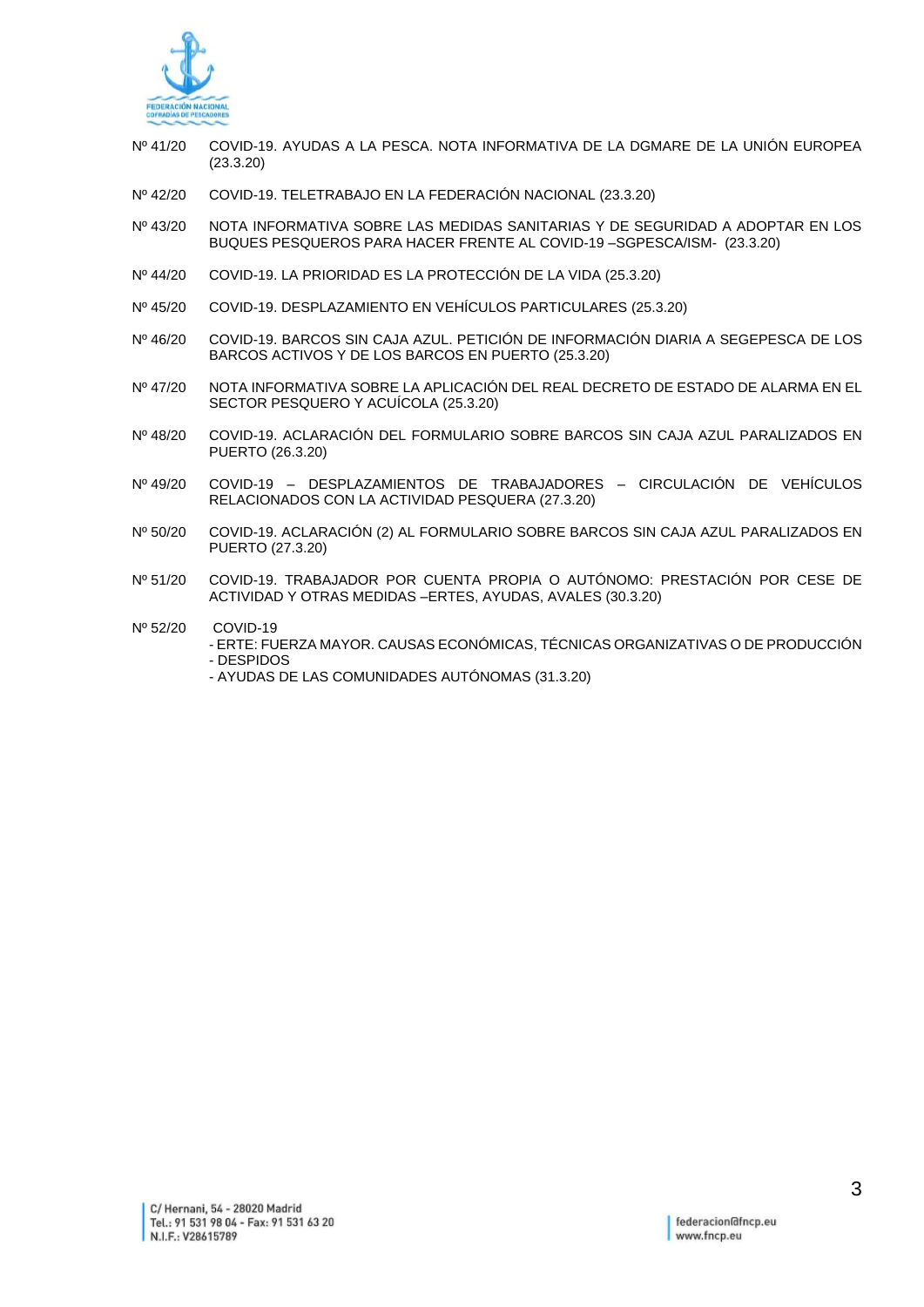

- Nº 41/20 COVID-19. AYUDAS A LA PESCA. NOTA INFORMATIVA DE LA DGMARE DE LA UNIÓN EUROPEA (23.3.20)
- Nº 42/20 COVID-19. TELETRABAJO EN LA FEDERACIÓN NACIONAL (23.3.20)
- Nº 43/20 NOTA INFORMATIVA SOBRE LAS MEDIDAS SANITARIAS Y DE SEGURIDAD A ADOPTAR EN LOS BUQUES PESQUEROS PARA HACER FRENTE AL COVID-19 –SGPESCA/ISM- (23.3.20)
- Nº 44/20 COVID-19. LA PRIORIDAD ES LA PROTECCIÓN DE LA VIDA (25.3.20)
- Nº 45/20 COVID-19. DESPLAZAMIENTO EN VEHÍCULOS PARTICULARES (25.3.20)
- Nº 46/20 COVID-19. BARCOS SIN CAJA AZUL. PETICIÓN DE INFORMACIÓN DIARIA A SEGEPESCA DE LOS BARCOS ACTIVOS Y DE LOS BARCOS EN PUERTO (25.3.20)
- Nº 47/20 NOTA INFORMATIVA SOBRE LA APLICACIÓN DEL REAL DECRETO DE ESTADO DE ALARMA EN EL SECTOR PESQUERO Y ACUÍCOLA (25.3.20)
- Nº 48/20 COVID-19. ACLARACIÓN DEL FORMULARIO SOBRE BARCOS SIN CAJA AZUL PARALIZADOS EN PUERTO (26.3.20)
- Nº 49/20 COVID-19 DESPLAZAMIENTOS DE TRABAJADORES CIRCULACIÓN DE VEHÍCULOS RELACIONADOS CON LA ACTIVIDAD PESQUERA (27.3.20)
- Nº 50/20 COVID-19. ACLARACIÓN (2) AL FORMULARIO SOBRE BARCOS SIN CAJA AZUL PARALIZADOS EN PUERTO (27.3.20)
- Nº 51/20 COVID-19. TRABAJADOR POR CUENTA PROPIA O AUTÓNOMO: PRESTACIÓN POR CESE DE ACTIVIDAD Y OTRAS MEDIDAS –ERTES, AYUDAS, AVALES (30.3.20)
- Nº 52/20 COVID-19
	- ERTE: FUERZA MAYOR. CAUSAS ECONÓMICAS, TÉCNICAS ORGANIZATIVAS O DE PRODUCCIÓN - DESPIDOS
		- AYUDAS DE LAS COMUNIDADES AUTÓNOMAS (31.3.20)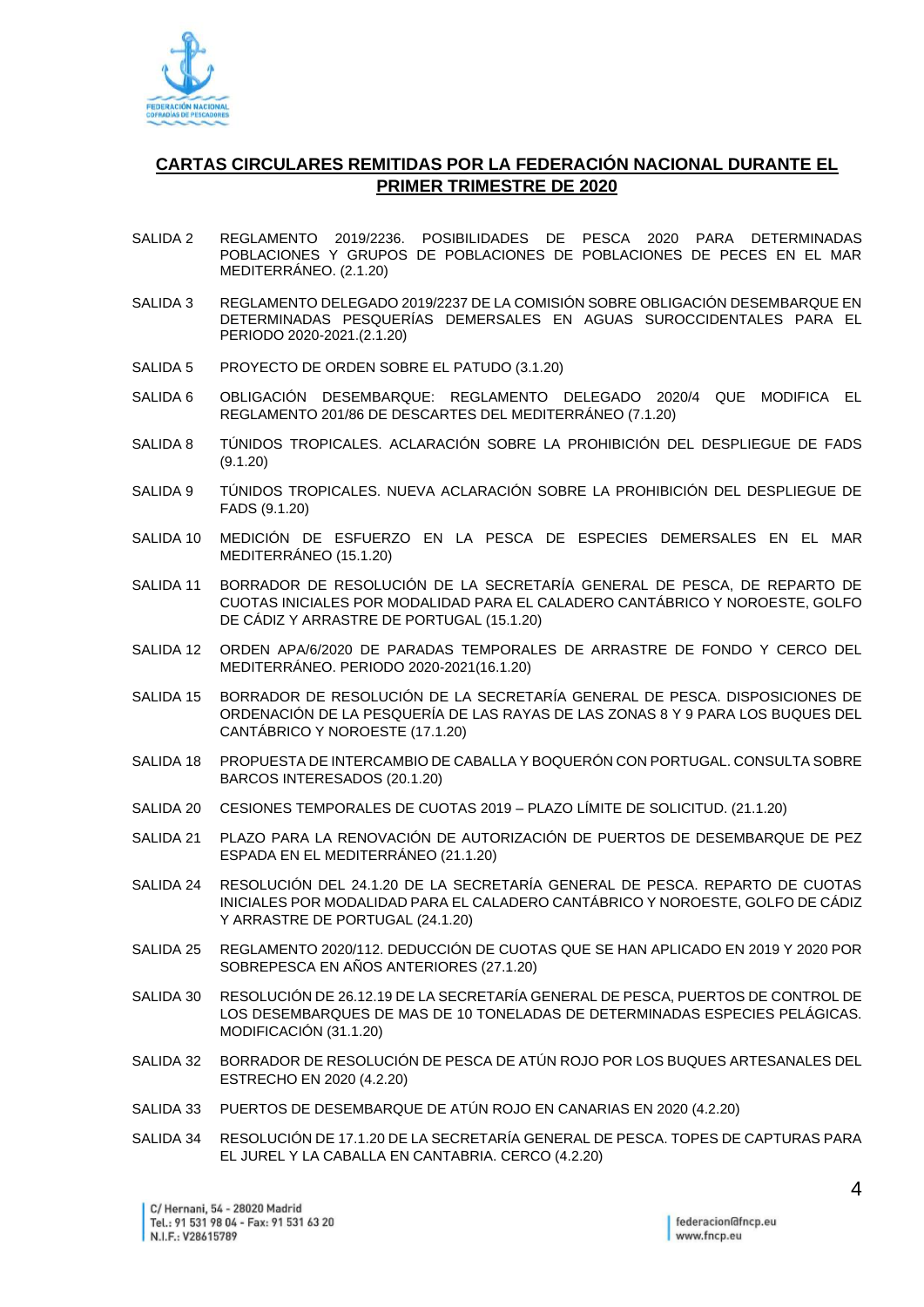

## **CARTAS CIRCULARES REMITIDAS POR LA FEDERACIÓN NACIONAL DURANTE EL PRIMER TRIMESTRE DE 2020**

- SALIDA 2 REGLAMENTO 2019/2236. POSIBILIDADES DE PESCA 2020 PARA DETERMINADAS POBLACIONES Y GRUPOS DE POBLACIONES DE POBLACIONES DE PECES EN EL MAR MEDITERRÁNEO. (2.1.20)
- SALIDA 3 REGLAMENTO DELEGADO 2019/2237 DE LA COMISIÓN SOBRE OBLIGACIÓN DESEMBARQUE EN DETERMINADAS PESQUERÍAS DEMERSALES EN AGUAS SUROCCIDENTALES PARA EL PERIODO 2020-2021.(2.1.20)
- SALIDA 5 PROYECTO DE ORDEN SOBRE EL PATUDO (3.1.20)
- SALIDA 6 OBLIGACIÓN DESEMBARQUE: REGLAMENTO DELEGADO 2020/4 QUE MODIFICA EL REGLAMENTO 201/86 DE DESCARTES DEL MEDITERRÁNEO (7.1.20)
- SALIDA 8 TÚNIDOS TROPICALES. ACLARACIÓN SOBRE LA PROHIBICIÓN DEL DESPLIEGUE DE FADS (9.1.20)
- SALIDA 9 TÚNIDOS TROPICALES. NUEVA ACLARACIÓN SOBRE LA PROHIBICIÓN DEL DESPLIEGUE DE FADS (9.1.20)
- SALIDA 10 MEDICIÓN DE ESFUERZO EN LA PESCA DE ESPECIES DEMERSALES EN EL MAR MEDITERRÁNEO (15.1.20)
- SALIDA 11 BORRADOR DE RESOLUCIÓN DE LA SECRETARÍA GENERAL DE PESCA, DE REPARTO DE CUOTAS INICIALES POR MODALIDAD PARA EL CALADERO CANTÁBRICO Y NOROESTE, GOLFO DE CÁDIZ Y ARRASTRE DE PORTUGAL (15.1.20)
- SALIDA 12 ORDEN APA/6/2020 DE PARADAS TEMPORALES DE ARRASTRE DE FONDO Y CERCO DEL MEDITERRÁNEO. PERIODO 2020-2021(16.1.20)
- SALIDA 15 BORRADOR DE RESOLUCIÓN DE LA SECRETARÍA GENERAL DE PESCA. DISPOSICIONES DE ORDENACIÓN DE LA PESQUERÍA DE LAS RAYAS DE LAS ZONAS 8 Y 9 PARA LOS BUQUES DEL CANTÁBRICO Y NOROESTE (17.1.20)
- SALIDA 18 PROPUESTA DE INTERCAMBIO DE CABALLA Y BOQUERÓN CON PORTUGAL. CONSULTA SOBRE BARCOS INTERESADOS (20.1.20)
- SALIDA 20 CESIONES TEMPORALES DE CUOTAS 2019 PLAZO LÍMITE DE SOLICITUD. (21.1.20)
- SALIDA 21 PLAZO PARA LA RENOVACIÓN DE AUTORIZACIÓN DE PUERTOS DE DESEMBARQUE DE PEZ ESPADA EN EL MEDITERRÁNEO (21.1.20)
- SALIDA 24 RESOLUCIÓN DEL 24.1.20 DE LA SECRETARÍA GENERAL DE PESCA. REPARTO DE CUOTAS INICIALES POR MODALIDAD PARA EL CALADERO CANTÁBRICO Y NOROESTE, GOLFO DE CÁDIZ Y ARRASTRE DE PORTUGAL (24.1.20)
- SALIDA 25 REGLAMENTO 2020/112. DEDUCCIÓN DE CUOTAS QUE SE HAN APLICADO EN 2019 Y 2020 POR SOBREPESCA EN AÑOS ANTERIORES (27.1.20)
- SALIDA 30 RESOLUCIÓN DE 26.12.19 DE LA SECRETARÍA GENERAL DE PESCA, PUERTOS DE CONTROL DE LOS DESEMBARQUES DE MAS DE 10 TONELADAS DE DETERMINADAS ESPECIES PELÁGICAS. MODIFICACIÓN (31.1.20)
- SALIDA 32 BORRADOR DE RESOLUCIÓN DE PESCA DE ATÚN ROJO POR LOS BUQUES ARTESANALES DEL ESTRECHO EN 2020 (4.2.20)
- SALIDA 33 PUERTOS DE DESEMBARQUE DE ATÚN ROJO EN CANARIAS EN 2020 (4.2.20)
- SALIDA 34 RESOLUCIÓN DE 17.1.20 DE LA SECRETARÍA GENERAL DE PESCA. TOPES DE CAPTURAS PARA EL JUREL Y LA CABALLA EN CANTABRIA. CERCO (4.2.20)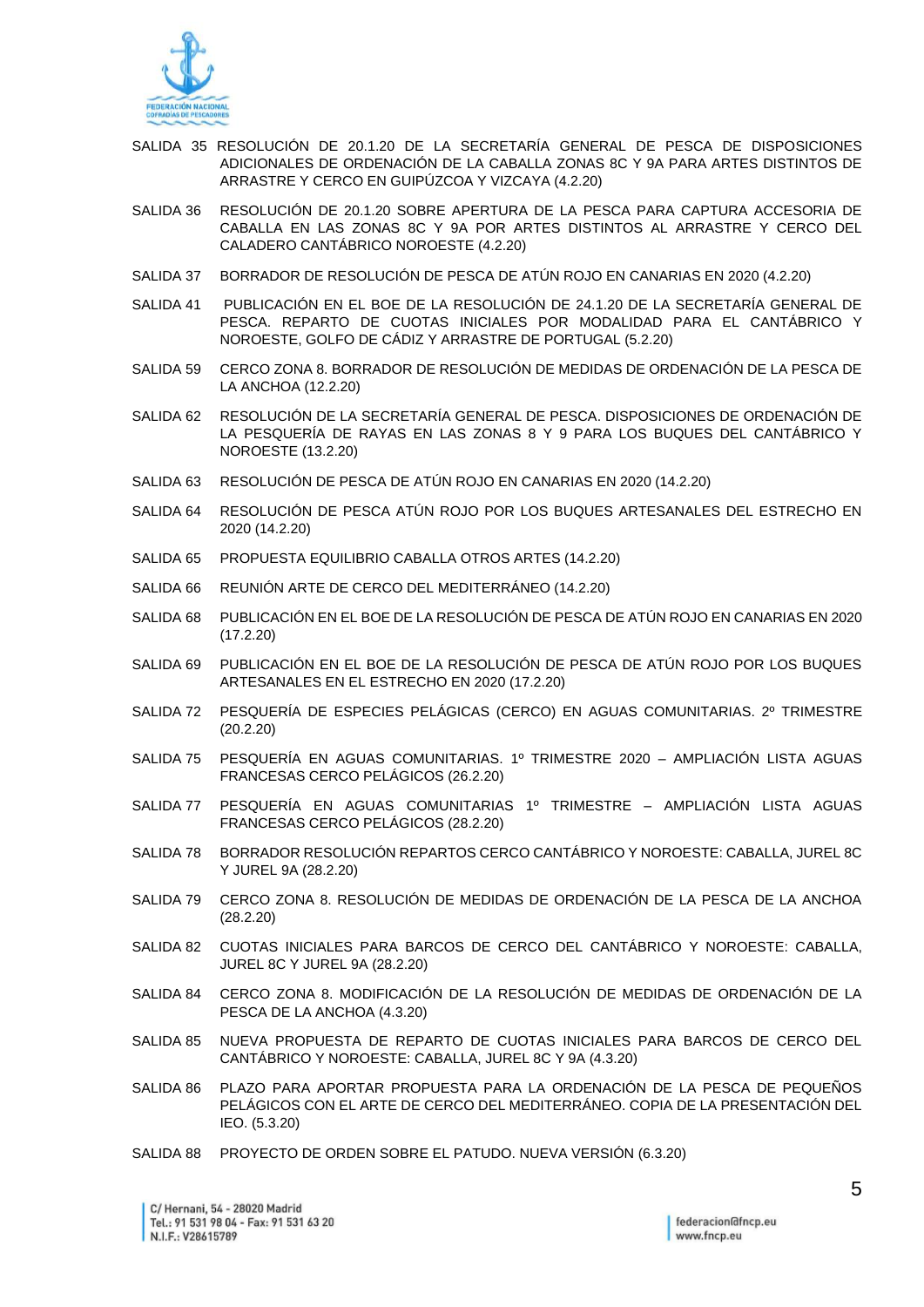

- SALIDA 35 RESOLUCIÓN DE 20.1.20 DE LA SECRETARÍA GENERAL DE PESCA DE DISPOSICIONES ADICIONALES DE ORDENACIÓN DE LA CABALLA ZONAS 8C Y 9A PARA ARTES DISTINTOS DE ARRASTRE Y CERCO EN GUIPÚZCOA Y VIZCAYA (4.2.20)
- SALIDA 36 RESOLUCIÓN DE 20.1.20 SOBRE APERTURA DE LA PESCA PARA CAPTURA ACCESORIA DE CABALLA EN LAS ZONAS 8C Y 9A POR ARTES DISTINTOS AL ARRASTRE Y CERCO DEL CALADERO CANTÁBRICO NOROESTE (4.2.20)
- SALIDA 37 BORRADOR DE RESOLUCIÓN DE PESCA DE ATÚN ROJO EN CANARIAS EN 2020 (4.2.20)
- SALIDA 41 PUBLICACIÓN EN EL BOE DE LA RESOLUCIÓN DE 24.1.20 DE LA SECRETARÍA GENERAL DE PESCA. REPARTO DE CUOTAS INICIALES POR MODALIDAD PARA EL CANTÁBRICO Y NOROESTE, GOLFO DE CÁDIZ Y ARRASTRE DE PORTUGAL (5.2.20)
- SALIDA 59 CERCO ZONA 8. BORRADOR DE RESOLUCIÓN DE MEDIDAS DE ORDENACIÓN DE LA PESCA DE LA ANCHOA (12.2.20)
- SALIDA 62 RESOLUCIÓN DE LA SECRETARÍA GENERAL DE PESCA. DISPOSICIONES DE ORDENACIÓN DE LA PESQUERÍA DE RAYAS EN LAS ZONAS 8 Y 9 PARA LOS BUQUES DEL CANTÁBRICO Y NOROESTE (13.2.20)
- SALIDA 63 RESOLUCIÓN DE PESCA DE ATÚN ROJO EN CANARIAS EN 2020 (14.2.20)
- SALIDA 64 RESOLUCIÓN DE PESCA ATÚN ROJO POR LOS BUQUES ARTESANALES DEL ESTRECHO EN 2020 (14.2.20)
- SALIDA 65 PROPUESTA EQUILIBRIO CABALLA OTROS ARTES (14.2.20)
- SALIDA 66 REUNIÓN ARTE DE CERCO DEL MEDITERRÁNEO (14.2.20)
- SALIDA 68 PUBLICACIÓN EN EL BOE DE LA RESOLUCIÓN DE PESCA DE ATÚN ROJO EN CANARIAS EN 2020 (17.2.20)
- SALIDA 69 PUBLICACIÓN EN EL BOE DE LA RESOLUCIÓN DE PESCA DE ATÚN ROJO POR LOS BUQUES ARTESANALES EN EL ESTRECHO EN 2020 (17.2.20)
- SALIDA 72 PESQUERÍA DE ESPECIES PELÁGICAS (CERCO) EN AGUAS COMUNITARIAS. 2º TRIMESTRE (20.2.20)
- SALIDA 75 PESQUERÍA EN AGUAS COMUNITARIAS. 1º TRIMESTRE 2020 AMPLIACIÓN LISTA AGUAS FRANCESAS CERCO PELÁGICOS (26.2.20)
- SALIDA 77 PESQUERÍA EN AGUAS COMUNITARIAS 1º TRIMESTRE AMPLIACIÓN LISTA AGUAS FRANCESAS CERCO PELÁGICOS (28.2.20)
- SALIDA 78 BORRADOR RESOLUCIÓN REPARTOS CERCO CANTÁBRICO Y NOROESTE: CABALLA, JUREL 8C Y JUREL 9A (28.2.20)
- SALIDA 79 CERCO ZONA 8. RESOLUCIÓN DE MEDIDAS DE ORDENACIÓN DE LA PESCA DE LA ANCHOA (28.2.20)
- SALIDA 82 CUOTAS INICIALES PARA BARCOS DE CERCO DEL CANTÁBRICO Y NOROESTE: CABALLA, JUREL 8C Y JUREL 9A (28.2.20)
- SALIDA 84 CERCO ZONA 8. MODIFICACIÓN DE LA RESOLUCIÓN DE MEDIDAS DE ORDENACIÓN DE LA PESCA DE LA ANCHOA (4.3.20)
- SALIDA 85 NUEVA PROPUESTA DE REPARTO DE CUOTAS INICIALES PARA BARCOS DE CERCO DEL CANTÁBRICO Y NOROESTE: CABALLA, JUREL 8C Y 9A (4.3.20)
- SALIDA 86 PLAZO PARA APORTAR PROPUESTA PARA LA ORDENACIÓN DE LA PESCA DE PEQUEÑOS PELÁGICOS CON EL ARTE DE CERCO DEL MEDITERRÁNEO. COPIA DE LA PRESENTACIÓN DEL IEO. (5.3.20)
- SALIDA 88 PROYECTO DE ORDEN SOBRE EL PATUDO. NUEVA VERSIÓN (6.3.20)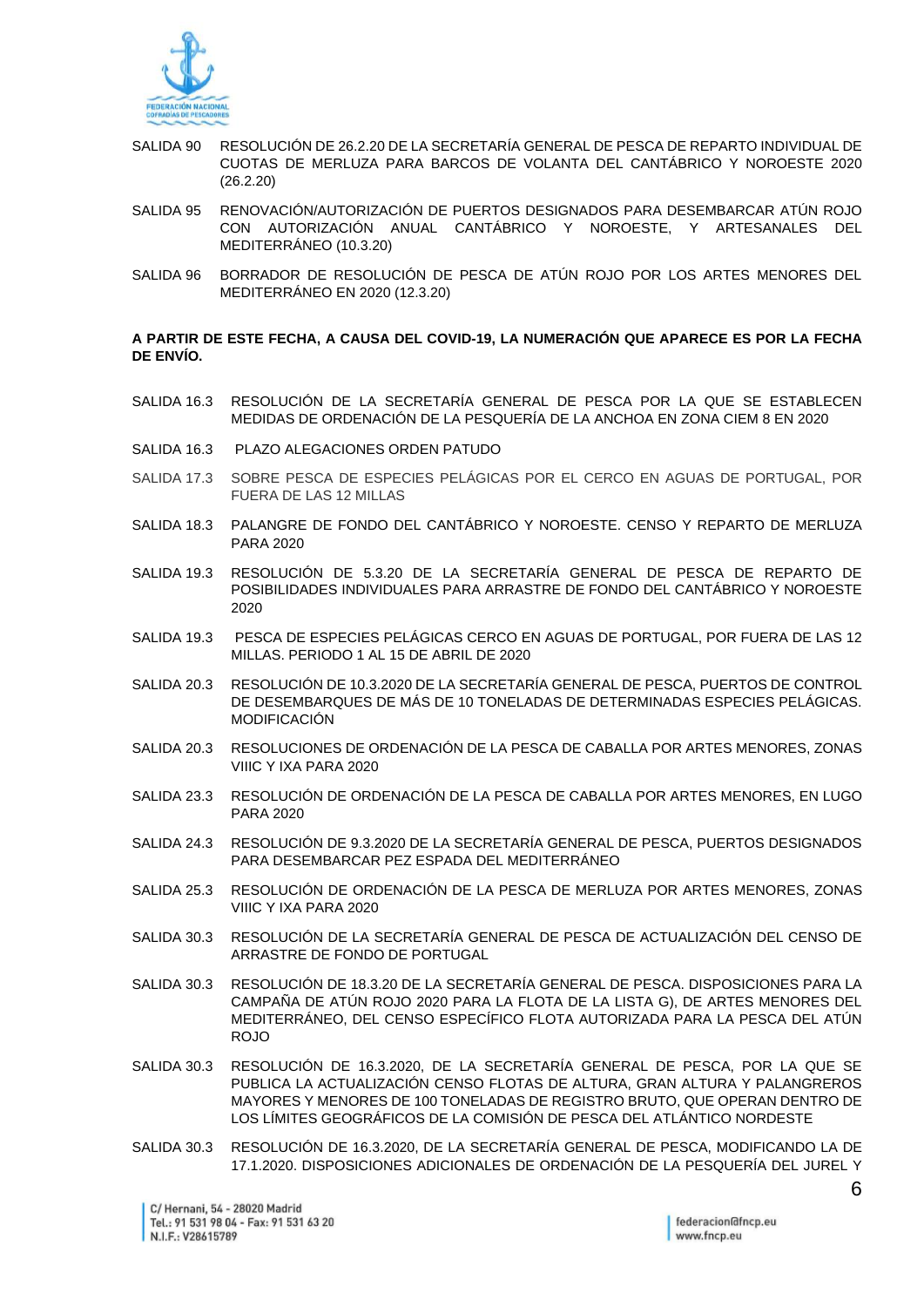

- SALIDA 90 RESOLUCIÓN DE 26.2.20 DE LA SECRETARÍA GENERAL DE PESCA DE REPARTO INDIVIDUAL DE CUOTAS DE MERLUZA PARA BARCOS DE VOLANTA DEL CANTÁBRICO Y NOROESTE 2020 (26.2.20)
- SALIDA 95 RENOVACIÓN/AUTORIZACIÓN DE PUERTOS DESIGNADOS PARA DESEMBARCAR ATÚN ROJO CON AUTORIZACIÓN ANUAL CANTÁBRICO Y NOROESTE, Y ARTESANALES DEL MEDITERRÁNEO (10.3.20)
- SALIDA 96 BORRADOR DE RESOLUCIÓN DE PESCA DE ATÚN ROJO POR LOS ARTES MENORES DEL MEDITERRÁNEO EN 2020 (12.3.20)

## **A PARTIR DE ESTE FECHA, A CAUSA DEL COVID-19, LA NUMERACIÓN QUE APARECE ES POR LA FECHA DE ENVÍO.**

- SALIDA 16.3 RESOLUCIÓN DE LA SECRETARÍA GENERAL DE PESCA POR LA QUE SE ESTABLECEN MEDIDAS DE ORDENACIÓN DE LA PESQUERÍA DE LA ANCHOA EN ZONA CIEM 8 EN 2020
- SALIDA 16.3 PLAZO ALEGACIONES ORDEN PATUDO
- SALIDA 17.3 SOBRE PESCA DE ESPECIES PELÁGICAS POR EL CERCO EN AGUAS DE PORTUGAL, POR FUERA DE LAS 12 MILLAS
- SALIDA 18.3 PALANGRE DE FONDO DEL CANTÁBRICO Y NOROESTE. CENSO Y REPARTO DE MERLUZA PARA 2020
- SALIDA 19.3 RESOLUCIÓN DE 5.3.20 DE LA SECRETARÍA GENERAL DE PESCA DE REPARTO DE POSIBILIDADES INDIVIDUALES PARA ARRASTRE DE FONDO DEL CANTÁBRICO Y NOROESTE 2020
- SALIDA 19.3 PESCA DE ESPECIES PELÁGICAS CERCO EN AGUAS DE PORTUGAL, POR FUERA DE LAS 12 MILLAS. PERIODO 1 AL 15 DE ABRIL DE 2020
- SALIDA 20.3 RESOLUCIÓN DE 10.3.2020 DE LA SECRETARÍA GENERAL DE PESCA, PUERTOS DE CONTROL DE DESEMBARQUES DE MÁS DE 10 TONELADAS DE DETERMINADAS ESPECIES PELÁGICAS. MODIFICACIÓN
- SALIDA 20.3 RESOLUCIONES DE ORDENACIÓN DE LA PESCA DE CABALLA POR ARTES MENORES, ZONAS VIIIC Y IXA PARA 2020
- SALIDA 23.3 RESOLUCIÓN DE ORDENACIÓN DE LA PESCA DE CABALLA POR ARTES MENORES, EN LUGO PARA 2020
- SALIDA 24.3 RESOLUCIÓN DE 9.3.2020 DE LA SECRETARÍA GENERAL DE PESCA, PUERTOS DESIGNADOS PARA DESEMBARCAR PEZ ESPADA DEL MEDITERRÁNEO
- SALIDA 25.3 RESOLUCIÓN DE ORDENACIÓN DE LA PESCA DE MERLUZA POR ARTES MENORES, ZONAS VIIIC Y IXA PARA 2020
- SALIDA 30.3 RESOLUCIÓN DE LA SECRETARÍA GENERAL DE PESCA DE ACTUALIZACIÓN DEL CENSO DE ARRASTRE DE FONDO DE PORTUGAL
- SALIDA 30.3 RESOLUCIÓN DE 18.3.20 DE LA SECRETARÍA GENERAL DE PESCA. DISPOSICIONES PARA LA CAMPAÑA DE ATÚN ROJO 2020 PARA LA FLOTA DE LA LISTA G), DE ARTES MENORES DEL MEDITERRÁNEO, DEL CENSO ESPECÍFICO FLOTA AUTORIZADA PARA LA PESCA DEL ATÚN ROJO
- SALIDA 30.3 RESOLUCIÓN DE 16.3.2020, DE LA SECRETARÍA GENERAL DE PESCA, POR LA QUE SE PUBLICA LA ACTUALIZACIÓN CENSO FLOTAS DE ALTURA, GRAN ALTURA Y PALANGREROS MAYORES Y MENORES DE 100 TONELADAS DE REGISTRO BRUTO, QUE OPERAN DENTRO DE LOS LÍMITES GEOGRÁFICOS DE LA COMISIÓN DE PESCA DEL ATLÁNTICO NORDESTE
- SALIDA 30.3 RESOLUCIÓN DE 16.3.2020, DE LA SECRETARÍA GENERAL DE PESCA, MODIFICANDO LA DE 17.1.2020. DISPOSICIONES ADICIONALES DE ORDENACIÓN DE LA PESQUERÍA DEL JUREL Y